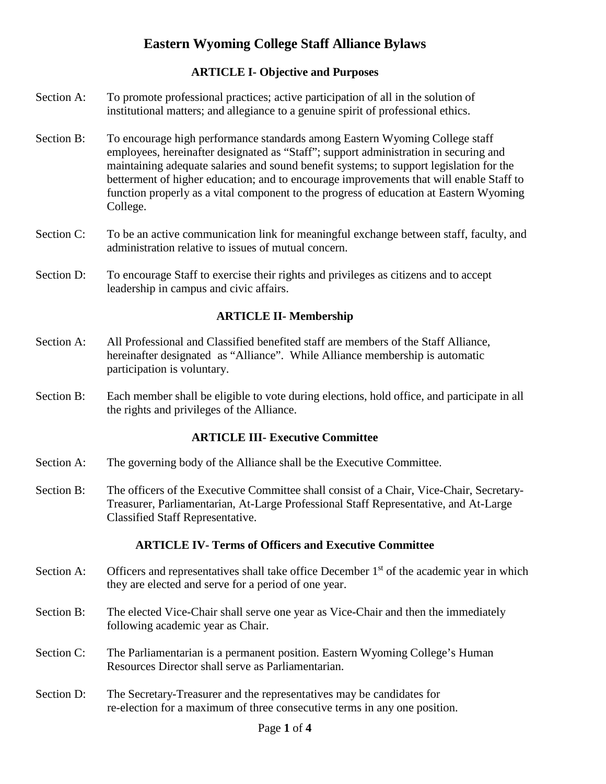# **Eastern Wyoming College Staff Alliance Bylaws**

## **ARTICLE I- Objective and Purposes**

- Section A: To promote professional practices; active participation of all in the solution of institutional matters; and allegiance to a genuine spirit of professional ethics.
- Section B: To encourage high performance standards among Eastern Wyoming College staff employees, hereinafter designated as "Staff"; support administration in securing and maintaining adequate salaries and sound benefit systems; to support legislation for the betterment of higher education; and to encourage improvements that will enable Staff to function properly as a vital component to the progress of education at Eastern Wyoming College.
- Section C: To be an active communication link for meaningful exchange between staff, faculty, and administration relative to issues of mutual concern.
- Section D: To encourage Staff to exercise their rights and privileges as citizens and to accept leadership in campus and civic affairs.

#### **ARTICLE II- Membership**

- Section A: All Professional and Classified benefited staff are members of the Staff Alliance, hereinafter designated as "Alliance". While Alliance membership is automatic participation is voluntary.
- Section B: Each member shall be eligible to vote during elections, hold office, and participate in all the rights and privileges of the Alliance.

## **ARTICLE III- Executive Committee**

- Section A: The governing body of the Alliance shall be the Executive Committee.
- Section B: The officers of the Executive Committee shall consist of a Chair, Vice-Chair, Secretary-Treasurer, Parliamentarian, At-Large Professional Staff Representative, and At-Large Classified Staff Representative.

#### **ARTICLE IV- Terms of Officers and Executive Committee**

- Section A: Officers and representatives shall take office December  $1<sup>st</sup>$  of the academic year in which they are elected and serve for a period of one year.
- Section B: The elected Vice-Chair shall serve one year as Vice-Chair and then the immediately following academic year as Chair.
- Section C: The Parliamentarian is a permanent position. Eastern Wyoming College's Human Resources Director shall serve as Parliamentarian.
- Section D: The Secretary-Treasurer and the representatives may be candidates for re-election for a maximum of three consecutive terms in any one position.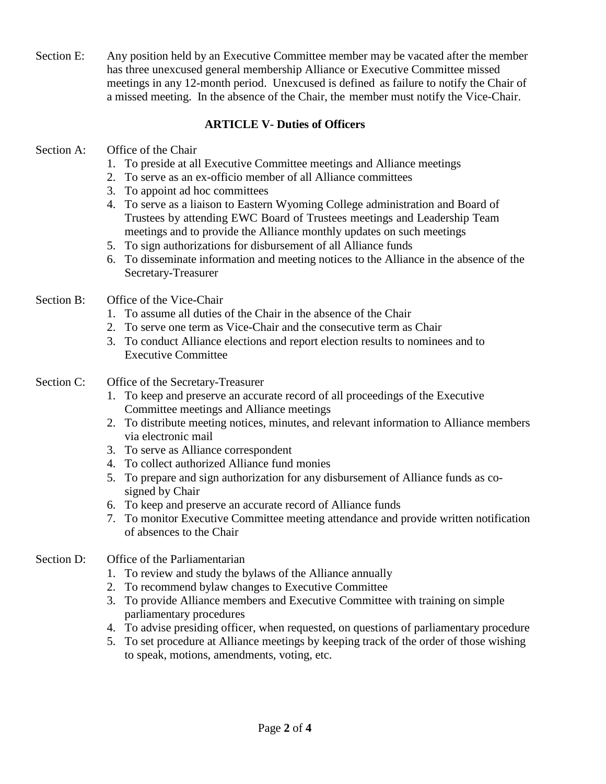Section E: Any position held by an Executive Committee member may be vacated after the member has three unexcused general membership Alliance or Executive Committee missed meetings in any 12-month period. Unexcused is defined as failure to notify the Chair of a missed meeting. In the absence of the Chair, the member must notify the Vice-Chair.

## **ARTICLE V- Duties of Officers**

#### Section A: Office of the Chair

- 1. To preside at all Executive Committee meetings and Alliance meetings
- 2. To serve as an ex-officio member of all Alliance committees
- 3. To appoint ad hoc committees
- 4. To serve as a liaison to Eastern Wyoming College administration and Board of Trustees by attending EWC Board of Trustees meetings and Leadership Team meetings and to provide the Alliance monthly updates on such meetings
- 5. To sign authorizations for disbursement of all Alliance funds
- 6. To disseminate information and meeting notices to the Alliance in the absence of the Secretary-Treasurer
- Section B: Office of the Vice-Chair
	- 1. To assume all duties of the Chair in the absence of the Chair
	- 2. To serve one term as Vice-Chair and the consecutive term as Chair
	- 3. To conduct Alliance elections and report election results to nominees and to Executive Committee
- Section C: Office of the Secretary-Treasurer
	- 1. To keep and preserve an accurate record of all proceedings of the Executive Committee meetings and Alliance meetings
	- 2. To distribute meeting notices, minutes, and relevant information to Alliance members via electronic mail
	- 3. To serve as Alliance correspondent
	- 4. To collect authorized Alliance fund monies
	- 5. To prepare and sign authorization for any disbursement of Alliance funds as cosigned by Chair
	- 6. To keep and preserve an accurate record of Alliance funds
	- 7. To monitor Executive Committee meeting attendance and provide written notification of absences to the Chair
- Section D: Office of the Parliamentarian
	- 1. To review and study the bylaws of the Alliance annually
	- 2. To recommend bylaw changes to Executive Committee
	- 3. To provide Alliance members and Executive Committee with training on simple parliamentary procedures
	- 4. To advise presiding officer, when requested, on questions of parliamentary procedure
	- 5. To set procedure at Alliance meetings by keeping track of the order of those wishing to speak, motions, amendments, voting, etc.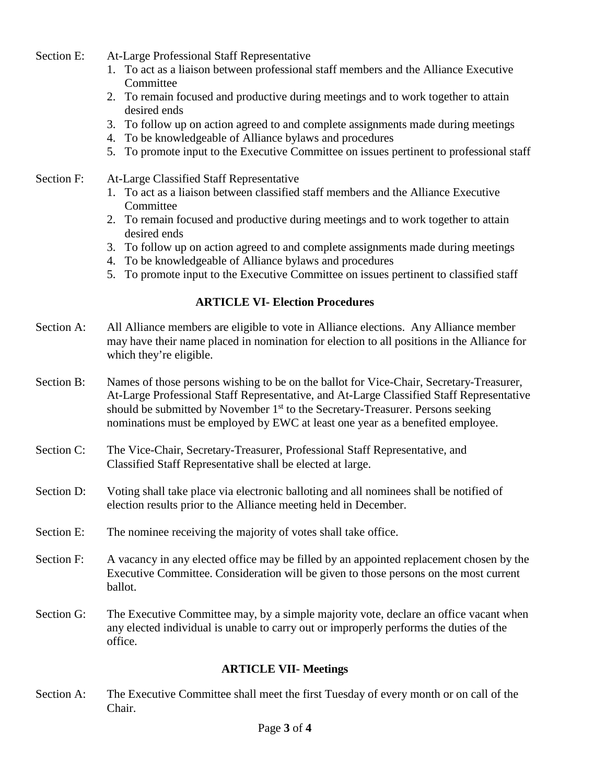Section E: At-Large Professional Staff Representative

- 1. To act as a liaison between professional staff members and the Alliance Executive Committee
- 2. To remain focused and productive during meetings and to work together to attain desired ends
- 3. To follow up on action agreed to and complete assignments made during meetings
- 4. To be knowledgeable of Alliance bylaws and procedures
- 5. To promote input to the Executive Committee on issues pertinent to professional staff

#### Section F: At-Large Classified Staff Representative

- 1. To act as a liaison between classified staff members and the Alliance Executive **Committee**
- 2. To remain focused and productive during meetings and to work together to attain desired ends
- 3. To follow up on action agreed to and complete assignments made during meetings
- 4. To be knowledgeable of Alliance bylaws and procedures
- 5. To promote input to the Executive Committee on issues pertinent to classified staff

#### **ARTICLE VI- Election Procedures**

- Section A: All Alliance members are eligible to vote in Alliance elections. Any Alliance member may have their name placed in nomination for election to all positions in the Alliance for which they're eligible.
- Section B: Names of those persons wishing to be on the ballot for Vice-Chair, Secretary-Treasurer, At-Large Professional Staff Representative, and At-Large Classified Staff Representative should be submitted by November  $1<sup>st</sup>$  to the Secretary-Treasurer. Persons seeking nominations must be employed by EWC at least one year as a benefited employee.
- Section C: The Vice-Chair, Secretary-Treasurer, Professional Staff Representative, and Classified Staff Representative shall be elected at large.
- Section D: Voting shall take place via electronic balloting and all nominees shall be notified of election results prior to the Alliance meeting held in December.
- Section E: The nominee receiving the majority of votes shall take office.
- Section F: A vacancy in any elected office may be filled by an appointed replacement chosen by the Executive Committee. Consideration will be given to those persons on the most current ballot.
- Section G: The Executive Committee may, by a simple majority vote, declare an office vacant when any elected individual is unable to carry out or improperly performs the duties of the office.

#### **ARTICLE VII- Meetings**

Section A: The Executive Committee shall meet the first Tuesday of every month or on call of the Chair.